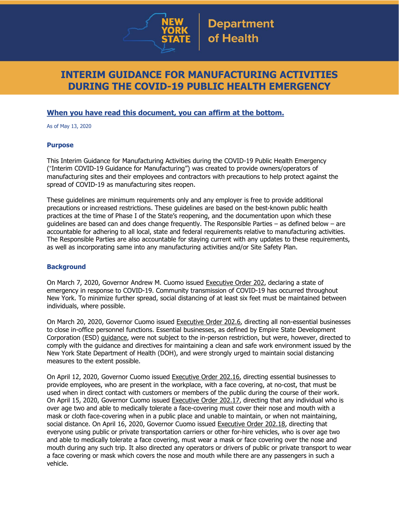

# **INTERIM GUIDANCE FOR MANUFACTURING ACTIVITIES DURING THE COVID-19 PUBLIC HEALTH EMERGENCY**

### **When you have read this document, you can affirm at the bottom.**

As of May 13, 2020

#### **Purpose**

This Interim Guidance for Manufacturing Activities during the COVID-19 Public Health Emergency ("Interim COVID-19 Guidance for Manufacturing") was created to provide owners/operators of manufacturing sites and their employees and contractors with precautions to help protect against the spread of COVID-19 as manufacturing sites reopen.

These guidelines are minimum requirements only and any employer is free to provide additional precautions or increased restrictions. These guidelines are based on the best-known public health practices at the time of Phase I of the State's reopening, and the documentation upon which these guidelines are based can and does change frequently. The Responsible Parties – as defined below – are accountable for adhering to all local, state and federal requirements relative to manufacturing activities. The Responsible Parties are also accountable for staying current with any updates to these requirements, as well as incorporating same into any manufacturing activities and/or Site Safety Plan.

#### **Background**

On March 7, 2020, Governor Andrew M. Cuomo issued [Executive](https://www.governor.ny.gov/news/no-202-declaring-disaster-emergency-state-new-york) Order 202, declaring a state of emergency in response to COVID-19. Community transmission of COVID-19 has occurred throughout New York. To minimize further spread, social distancing of at least six feet must be maintained between individuals, where possible.

On March 20, 2020, Governor Cuomo issued [Executive](https://www.governor.ny.gov/news/no-2026-continuing-temporary-suspension-and-modification-laws-relating-disaster-emergency) Order 202.6, directing all non-essential businesses to close in-office personnel functions. Essential businesses, as defined by Empire State Development Corporation (ESD) [guidance,](https://esd.ny.gov/guidance-executive-order-2026) were not subject to the in-person restriction, but were, however, directed to comply with the guidance and directives for maintaining a clean and safe work environment issued by the New York State Department of Health (DOH), and were strongly urged to maintain social distancing measures to the extent possible.

On April 12, 2020, Governor Cuomo issued [Executive](https://www.governor.ny.gov/news/no-20216-continuing-temporary-suspension-and-modification-laws-relating-disaster-emergency) Order 202.16, directing essential businesses to provide employees, who are present in the workplace, with a face covering, at no-cost, that must be used when in direct contact with customers or members of the public during the course of their work. On April 15, 2020, Governor Cuomo issued [Executive](https://www.governor.ny.gov/news/no-20217-continuing-temporary-suspension-and-modification-laws-relating-disaster-emergency) Order 202.17, directing that any individual who is over age two and able to medically tolerate a face-covering must cover their nose and mouth with a mask or cloth face-covering when in a public place and unable to maintain, or when not maintaining, social distance. On April 16, 2020, Governor Cuomo issued [Executive](https://www.governor.ny.gov/news/no-20218-continuing-temporary-suspension-and-modification-laws-relating-disaster-emergency) Order 202.18, directing that everyone using public or private transportation carriers or other for-hire vehicles, who is over age two and able to medically tolerate a face covering, must wear a mask or face covering over the nose and mouth during any such trip. It also directed any operators or drivers of public or private transport to wear a face covering or mask which covers the nose and mouth while there are any passengers in such a vehicle.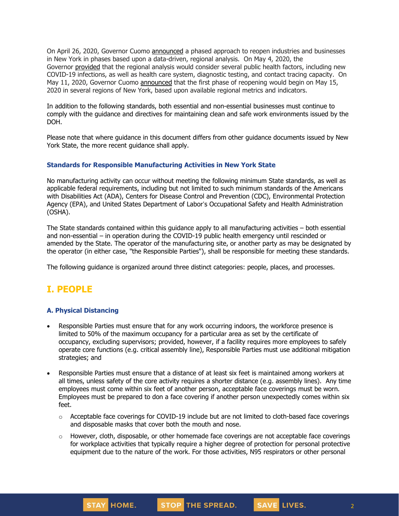On April 26, 2020, Governor Cuomo [announced](https://www.governor.ny.gov/news/amid-ongoing-covid-19-pandemic-governor-cuomo-outlines-phased-plan-re-open-new-york-starting) a phased approach to reopen industries and businesses in New York in phases based upon a data-driven, regional analysis. On May 4, 2020, the Governor [provided](https://www.governor.ny.gov/news/amid-ongoing-covid-19-pandemic-governor-cuomo-outlines-additional-guidelines-when-regions-can) that the regional analysis would consider several public health factors, including new COVID-19 infections, as well as health care system, diagnostic testing, and contact tracing capacity. On May 11, 2020, Governor Cuomo [announced](https://www.governor.ny.gov/news/amid-ongoing-covid-19-pandemic-governor-cuomo-announces-three-regions-new-york-state-ready) that the first phase of reopening would begin on May 15, 2020 in several regions of New York, based upon available regional metrics and indicators.

In addition to the following standards, both essential and non-essential businesses must continue to comply with the guidance and directives for maintaining clean and safe work environments issued by the DOH.

Please note that where guidance in this document differs from other guidance documents issued by New York State, the more recent guidance shall apply.

#### **Standards for Responsible Manufacturing Activities in New York State**

No manufacturing activity can occur without meeting the following minimum State standards, as well as applicable federal requirements, including but not limited to such minimum standards of the Americans with Disabilities Act (ADA), Centers for Disease Control and Prevention (CDC), Environmental Protection Agency (EPA), and United States Department of Labor's Occupational Safety and Health Administration (OSHA).

The State standards contained within this guidance apply to all manufacturing activities – both essential and non-essential – in operation during the COVID-19 public health emergency until rescinded or amended by the State. The operator of the manufacturing site, or another party as may be designated by the operator (in either case, "the Responsible Parties"), shall be responsible for meeting these standards.

The following guidance is organized around three distinct categories: people, places, and processes.

# **I. PEOPLE**

#### **A. Physical Distancing**

- Responsible Parties must ensure that for any work occurring indoors, the workforce presence is limited to 50% of the maximum occupancy for a particular area as set by the certificate of occupancy, excluding supervisors; provided, however, if a facility requires more employees to safely operate core functions (e.g. critical assembly line), Responsible Parties must use additional mitigation strategies; and
- Responsible Parties must ensure that a distance of at least six feet is maintained among workers at all times, unless safety of the core activity requires a shorter distance (e.g. assembly lines). Any time employees must come within six feet of another person, acceptable face coverings must be worn. Employees must be prepared to don a face covering if another person unexpectedly comes within six feet.
	- $\circ$  Acceptable face coverings for COVID-19 include but are not limited to cloth-based face coverings and disposable masks that cover both the mouth and nose.
	- $\circ$  However, cloth, disposable, or other homemade face coverings are not acceptable face coverings for workplace activities that typically require a higher degree of protection for personal protective equipment due to the nature of the work. For those activities, N95 respirators or other personal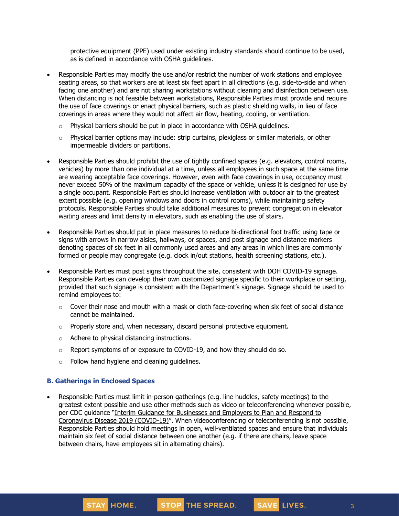protective equipment (PPE) used under existing industry standards should continue to be used, as is defined in accordance with OSHA [guidelines.](https://www.osha.gov/SLTC/personalprotectiveequipment/)

- Responsible Parties may modify the use and/or restrict the number of work stations and employee seating areas, so that workers are at least six feet apart in all directions (e.g. side-to-side and when facing one another) and are not sharing workstations without cleaning and disinfection between use. When distancing is not feasible between workstations, Responsible Parties must provide and require the use of face coverings or enact physical barriers, such as plastic shielding walls, in lieu of face coverings in areas where they would not affect air flow, heating, cooling, or ventilation.
	- $\circ$  Physical barriers should be put in place in accordance with OSHA quidelines.
	- $\circ$  Physical barrier options may include: strip curtains, plexiglass or similar materials, or other impermeable dividers or partitions.
- Responsible Parties should prohibit the use of tightly confined spaces (e.g. elevators, control rooms, vehicles) by more than one individual at a time, unless all employees in such space at the same time are wearing acceptable face coverings. However, even with face coverings in use, occupancy must never exceed 50% of the maximum capacity of the space or vehicle, unless it is designed for use by a single occupant. Responsible Parties should increase ventilation with outdoor air to the greatest extent possible (e.g. opening windows and doors in control rooms), while maintaining safety protocols. Responsible Parties should take additional measures to prevent congregation in elevator waiting areas and limit density in elevators, such as enabling the use of stairs.
- Responsible Parties should put in place measures to reduce bi-directional foot traffic using tape or signs with arrows in narrow aisles, hallways, or spaces, and post signage and distance markers denoting spaces of six feet in all commonly used areas and any areas in which lines are commonly formed or people may congregate (e.g. clock in/out stations, health screening stations, etc.).
- Responsible Parties must post signs throughout the site, consistent with DOH COVID-19 signage. Responsible Parties can develop their own customized signage specific to their workplace or setting, provided that such signage is consistent with the Department's signage. Signage should be used to remind employees to:
	- $\circ$  Cover their nose and mouth with a mask or cloth face-covering when six feet of social distance cannot be maintained.
	- $\circ$  Properly store and, when necessary, discard personal protective equipment.
	- o Adhere to physical distancing instructions.
	- $\circ$  Report symptoms of or exposure to COVID-19, and how they should do so.
	- o Follow hand hygiene and cleaning guidelines.

#### **B. Gatherings in Enclosed Spaces**

• Responsible Parties must limit in-person gatherings (e.g. line huddles, safety meetings) to the greatest extent possible and use other methods such as video or teleconferencing whenever possible, per CDC guidance "Interim Guidance for [Businesses](https://www.cdc.gov/coronavirus/2019-ncov/community/guidance-business-response.html) and Employers to Plan and Respond to [Coronavirus](https://www.cdc.gov/coronavirus/2019-ncov/community/guidance-business-response.html) Disease 2019 (COVID-19)". When videoconferencing or teleconferencing is not possible, Responsible Parties should hold meetings in open, well-ventilated spaces and ensure that individuals maintain six feet of social distance between one another (e.g. if there are chairs, leave space between chairs, have employees sit in alternating chairs).

SAVE LIVES.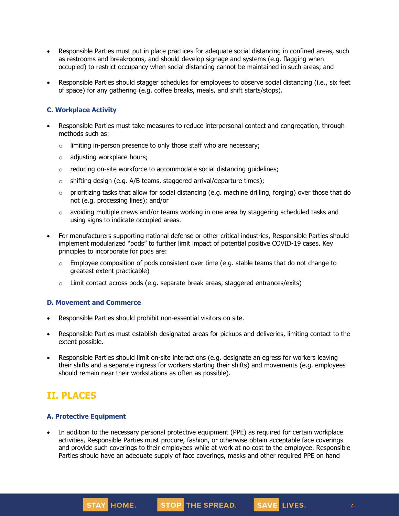- Responsible Parties must put in place practices for adequate social distancing in confined areas, such as restrooms and breakrooms, and should develop signage and systems (e.g. flagging when occupied) to restrict occupancy when social distancing cannot be maintained in such areas; and
- Responsible Parties should stagger schedules for employees to observe social distancing (i.e., six feet of space) for any gathering (e.g. coffee breaks, meals, and shift starts/stops).

#### **C. Workplace Activity**

- Responsible Parties must take measures to reduce interpersonal contact and congregation, through methods such as:
	- $\circ$  limiting in-person presence to only those staff who are necessary;
	- o adjusting workplace hours;
	- o reducing on-site workforce to accommodate social distancing guidelines;
	- $\circ$  shifting design (e.g. A/B teams, staggered arrival/departure times);
	- $\circ$  prioritizing tasks that allow for social distancing (e.g. machine drilling, forging) over those that do not (e.g. processing lines); and/or
	- $\circ$  avoiding multiple crews and/or teams working in one area by staggering scheduled tasks and using signs to indicate occupied areas.
- For manufacturers supporting national defense or other critical industries, Responsible Parties should implement modularized "pods" to further limit impact of potential positive COVID-19 cases. Key principles to incorporate for pods are:
	- $\circ$  Employee composition of pods consistent over time (e.g. stable teams that do not change to greatest extent practicable)
	- $\circ$  Limit contact across pods (e.g. separate break areas, staggered entrances/exits)

#### **D. Movement and Commerce**

- Responsible Parties should prohibit non-essential visitors on site.
- Responsible Parties must establish designated areas for pickups and deliveries, limiting contact to the extent possible.
- Responsible Parties should limit on-site interactions (e.g. designate an egress for workers leaving their shifts and a separate ingress for workers starting their shifts) and movements (e.g. employees should remain near their workstations as often as possible).

## **II. PLACES**

#### **A. Protective Equipment**

STAY HOME.

In addition to the necessary personal protective equipment (PPE) as required for certain workplace activities, Responsible Parties must procure, fashion, or otherwise obtain acceptable face coverings and provide such coverings to their employees while at work at no cost to the employee. Responsible Parties should have an adequate supply of face coverings, masks and other required PPE on hand

STOP THE SPREAD.

4

SAVE LIVES.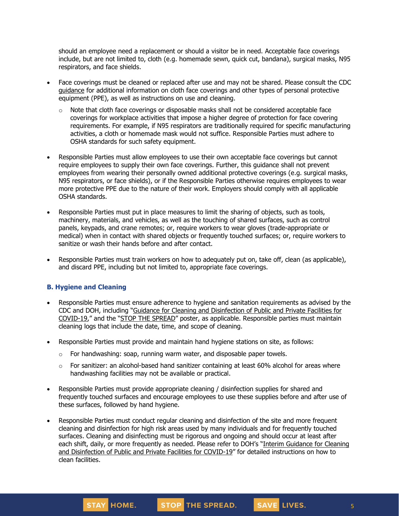should an employee need a replacement or should a visitor be in need. Acceptable face coverings include, but are not limited to, cloth (e.g. homemade sewn, quick cut, bandana), surgical masks, N95 respirators, and face shields.

- Face coverings must be cleaned or replaced after use and may not be shared. Please consult the CDC [guidance](https://www.cdc.gov/coronavirus/2019-ncov/community/guidance-business-response.html) for additional information on cloth face coverings and other types of personal protective equipment (PPE), as well as instructions on use and cleaning.
	- $\circ$  Note that cloth face coverings or disposable masks shall not be considered acceptable face coverings for workplace activities that impose a higher degree of protection for face covering requirements. For example, if N95 respirators are traditionally required for specific manufacturing activities, a cloth or homemade mask would not suffice. Responsible Parties must adhere to OSHA standards for such safety equipment.
- Responsible Parties must allow employees to use their own acceptable face coverings but cannot require employees to supply their own face coverings. Further, this guidance shall not prevent employees from wearing their personally owned additional protective coverings (e.g. surgical masks, N95 respirators, or face shields), or if the Responsible Parties otherwise requires employees to wear more protective PPE due to the nature of their work. Employers should comply with all applicable OSHA standards.
- Responsible Parties must put in place measures to limit the sharing of objects, such as tools, machinery, materials, and vehicles, as well as the touching of shared surfaces, such as control panels, keypads, and crane remotes; or, require workers to wear gloves (trade-appropriate or medical) when in contact with shared objects or frequently touched surfaces; or, require workers to sanitize or wash their hands before and after contact.
- Responsible Parties must train workers on how to adequately put on, take off, clean (as applicable), and discard PPE, including but not limited to, appropriate face coverings.

#### **B. Hygiene and Cleaning**

- Responsible Parties must ensure adherence to hygiene and sanitation requirements as advised by the CDC and DOH, including "Guidance for Cleaning and [Disinfection](https://coronavirus.health.ny.gov/system/files/documents/2020/03/cleaning_guidance_general_building.pdf) of Public and Private Facilities for [COVID-19](https://coronavirus.health.ny.gov/system/files/documents/2020/03/cleaning_guidance_general_building.pdf)," and the "STOP THE [SPREAD](https://coronavirus.health.ny.gov/system/files/documents/2020/04/13067_coronavirus_protectyourself_poster_042020.pdf)" poster, as applicable. Responsible parties must maintain cleaning logs that include the date, time, and scope of cleaning.
- Responsible Parties must provide and maintain hand hygiene stations on site, as follows:
	- $\circ$  For handwashing: soap, running warm water, and disposable paper towels.
	- $\circ$  For sanitizer: an alcohol-based hand sanitizer containing at least 60% alcohol for areas where handwashing facilities may not be available or practical.
- Responsible Parties must provide appropriate cleaning / disinfection supplies for shared and frequently touched surfaces and encourage employees to use these supplies before and after use of these surfaces, followed by hand hygiene.
- Responsible Parties must conduct regular cleaning and disinfection of the site and more frequent cleaning and disinfection for high risk areas used by many individuals and for frequently touched surfaces. Cleaning and disinfecting must be rigorous and ongoing and should occur at least after each shift, daily, or more frequently as needed. Please refer to DOH's "Interim [Guidance](https://coronavirus.health.ny.gov/system/files/documents/2020/03/cleaning_guidance_general_building.pdf) for Cleaning and [Disinfection](https://coronavirus.health.ny.gov/system/files/documents/2020/03/cleaning_guidance_general_building.pdf) of Public and Private Facilities for COVID-19" for detailed instructions on how to clean facilities.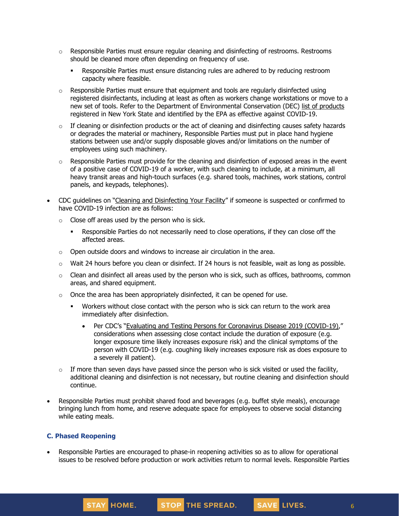- $\circ$  Responsible Parties must ensure regular cleaning and disinfecting of restrooms. Restrooms should be cleaned more often depending on frequency of use.
	- Responsible Parties must ensure distancing rules are adhered to by reducing restroom capacity where feasible.
- $\circ$  Responsible Parties must ensure that equipment and tools are regularly disinfected using registered disinfectants, including at least as often as workers change workstations or move to a new set of tools. Refer to the Department of Environmental Conservation (DEC) list of [products](http://www.dec.ny.gov/docs/materials_minerals_pdf/covid19.pdf) registered in New York State and identified by the EPA as effective against COVID-19.
- $\circ$  If cleaning or disinfection products or the act of cleaning and disinfecting causes safety hazards or degrades the material or machinery, Responsible Parties must put in place hand hygiene stations between use and/or supply disposable gloves and/or limitations on the number of employees using such machinery.
- $\circ$  Responsible Parties must provide for the cleaning and disinfection of exposed areas in the event of a positive case of COVID-19 of a worker, with such cleaning to include, at a minimum, all heavy transit areas and high-touch surfaces (e.g. shared tools, machines, work stations, control panels, and keypads, telephones).
- CDC guidelines on "Cleaning and [Disinfecting](https://www.cdc.gov/coronavirus/2019-ncov/community/disinfecting-building-facility.html) Your Facility" if someone is suspected or confirmed to have COVID-19 infection are as follows:
	- $\circ$  Close off areas used by the person who is sick.
		- Responsible Parties do not necessarily need to close operations, if they can close off the affected areas.
	- o Open outside doors and windows to increase air circulation in the area.
	- $\circ$  Wait 24 hours before you clean or disinfect. If 24 hours is not feasible, wait as long as possible.
	- $\circ$  Clean and disinfect all areas used by the person who is sick, such as offices, bathrooms, common areas, and shared equipment.
	- $\circ$  Once the area has been appropriately disinfected, it can be opened for use.
		- Workers without close contact with the person who is sick can return to the work area immediately after disinfection.
			- Per CDC's "Evaluating and Testing Persons for [Coronavirus](https://www.cdc.gov/coronavirus/2019-ncov/hcp/clinical-criteria.html) Disease 2019 (COVID-19)," considerations when assessing close contact include the duration of exposure (e.g. longer exposure time likely increases exposure risk) and the clinical symptoms of the person with COVID-19 (e.g. coughing likely increases exposure risk as does exposure to a severely ill patient).
	- $\circ$  If more than seven days have passed since the person who is sick visited or used the facility, additional cleaning and disinfection is not necessary, but routine cleaning and disinfection should continue.
- Responsible Parties must prohibit shared food and beverages (e.g. buffet style meals), encourage bringing lunch from home, and reserve adequate space for employees to observe social distancing while eating meals.

#### **C. Phased Reopening**

• Responsible Parties are encouraged to phase-in reopening activities so as to allow for operational issues to be resolved before production or work activities return to normal levels. Responsible Parties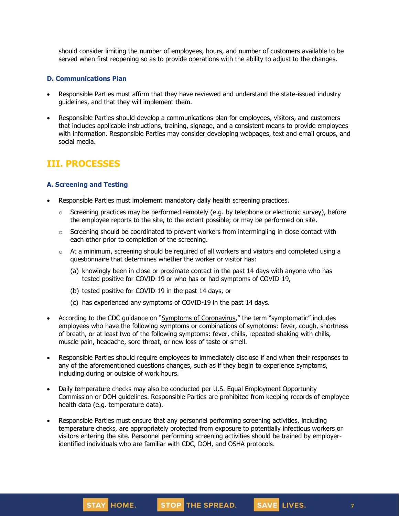should consider limiting the number of employees, hours, and number of customers available to be served when first reopening so as to provide operations with the ability to adjust to the changes.

#### **D. Communications Plan**

- Responsible Parties must affirm that they have reviewed and understand the state-issued industry guidelines, and that they will implement them.
- Responsible Parties should develop a communications plan for employees, visitors, and customers that includes applicable instructions, training, signage, and a consistent means to provide employees with information. Responsible Parties may consider developing webpages, text and email groups, and social media.

# **III. PROCESSES**

#### **A. Screening and Testing**

- Responsible Parties must implement mandatory daily health screening practices.
	- $\circ$  Screening practices may be performed remotely (e.g. by telephone or electronic survey), before the employee reports to the site, to the extent possible; or may be performed on site.
	- $\circ$  Screening should be coordinated to prevent workers from intermingling in close contact with each other prior to completion of the screening.
	- $\circ$  At a minimum, screening should be required of all workers and visitors and completed using a questionnaire that determines whether the worker or visitor has:
		- (a) knowingly been in close or proximate contact in the past 14 days with anyone who has tested positive for COVID-19 or who has or had symptoms of COVID-19,
		- (b) tested positive for COVID-19 in the past 14 days, or
		- (c) has experienced any symptoms of COVID-19 in the past 14 days.
- According to the CDC guidance on "Symptoms of [Coronavirus](https://www.cdc.gov/coronavirus/2019-ncov/symptoms-testing/symptoms.html)," the term "symptomatic" includes employees who have the following symptoms or combinations of symptoms: fever, cough, shortness of breath, or at least two of the following symptoms: fever, chills, repeated shaking with chills, muscle pain, headache, sore throat, or new loss of taste or smell.
- Responsible Parties should require employees to immediately disclose if and when their responses to any of the aforementioned questions changes, such as if they begin to experience symptoms, including during or outside of work hours.
- Daily temperature checks may also be conducted per U.S. Equal Employment Opportunity Commission or DOH guidelines. Responsible Parties are prohibited from keeping records of employee health data (e.g. temperature data).
- Responsible Parties must ensure that any personnel performing screening activities, including temperature checks, are appropriately protected from exposure to potentially infectious workers or visitors entering the site. Personnel performing screening activities should be trained by employeridentified individuals who are familiar with CDC, DOH, and OSHA protocols.

SAVE LIVES.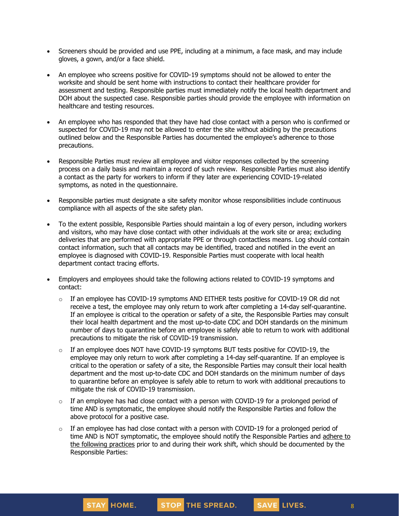- Screeners should be provided and use PPE, including at a minimum, a face mask, and may include gloves, a gown, and/or a face shield.
- An employee who screens positive for COVID-19 symptoms should not be allowed to enter the worksite and should be sent home with instructions to contact their healthcare provider for assessment and testing. Responsible parties must immediately notify the local health department and DOH about the suspected case. Responsible parties should provide the employee with information on healthcare and testing resources.
- An employee who has responded that they have had close contact with a person who is confirmed or suspected for COVID-19 may not be allowed to enter the site without abiding by the precautions outlined below and the Responsible Parties has documented the employee's adherence to those precautions.
- Responsible Parties must review all employee and visitor responses collected by the screening process on a daily basis and maintain a record of such review. Responsible Parties must also identify a contact as the party for workers to inform if they later are experiencing COVID-19-related symptoms, as noted in the questionnaire.
- Responsible parties must designate a site safety monitor whose responsibilities include continuous compliance with all aspects of the site safety plan.
- To the extent possible, Responsible Parties should maintain a log of every person, including workers and visitors, who may have close contact with other individuals at the work site or area; excluding deliveries that are performed with appropriate PPE or through contactless means. Log should contain contact information, such that all contacts may be identified, traced and notified in the event an employee is diagnosed with COVID-19. Responsible Parties must cooperate with local health department contact tracing efforts.
- Employers and employees should take the following actions related to COVID-19 symptoms and contact:
	- $\circ$  If an employee has COVID-19 symptoms AND EITHER tests positive for COVID-19 OR did not receive a test, the employee may only [return](https://www.cdc.gov/coronavirus/2019-ncov/hcp/return-to-work.html) to work after completing a 14-day self-quarantine. If an employee is critical to the operation or safety of a site, the Responsible Parties may consult their local health department and the most up-to-date CDC and DOH standards on the minimum number of days to quarantine before an employee is safely able to return to work with additional precautions to mitigate the risk of COVID-19 transmission.
	- $\circ$  If an employee does NOT have COVID-19 symptoms BUT tests positive for COVID-19, the employee may only return to work after completing a 14-day self-quarantine. If an employee is critical to the operation or safety of a site, the Responsible Parties may consult their local health department and the most up-to-date CDC and DOH standards on the minimum number of days to quarantine before an employee is safely able to return to work with additional precautions to mitigate the risk of COVID-19 transmission.
	- $\circ$  If an employee has had close contact with a person with COVID-19 for a prolonged period of time AND is symptomatic, the employee should notify the Responsible Parties and follow the above protocol for a positive case.
	- $\circ$  If an employee has had close contact with a person with COVID-19 for a prolonged period of time AND is NOT symptomatic, the employee should notify the Responsible Parties and [adhere](https://www.cdc.gov/coronavirus/2019-ncov/community/critical-workers/implementing-safety-practices.html) to the [following](https://www.cdc.gov/coronavirus/2019-ncov/community/critical-workers/implementing-safety-practices.html) practices prior to and during their work shift, which should be documented by the Responsible Parties: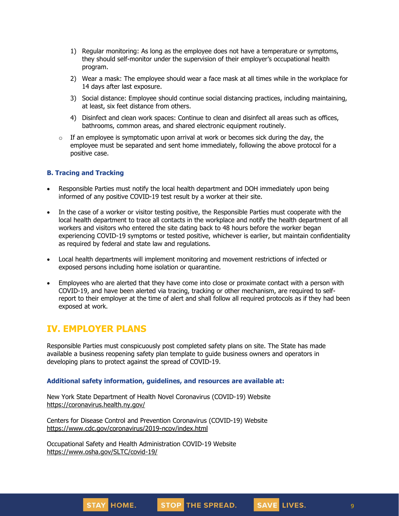- 1) Regular monitoring: As long as the employee does not have a temperature or symptoms, they should self-monitor under the supervision of their employer's occupational health program.
- 2) Wear a mask: The employee should wear a face mask at all times while in the workplace for 14 days after last exposure.
- 3) Social distance: Employee should continue social distancing practices, including maintaining, at least, six feet distance from others.
- 4) Disinfect and clean work spaces: Continue to clean and disinfect all areas such as offices, bathrooms, common areas, and shared electronic equipment routinely.
- $\circ$  If an employee is symptomatic upon arrival at work or becomes sick during the day, the employee must be separated and sent home immediately, following the above protocol for a positive case.

#### **B. Tracing and Tracking**

- Responsible Parties must notify the local health department and DOH immediately upon being informed of any positive COVID-19 test result by a worker at their site.
- In the case of a worker or visitor testing positive, the Responsible Parties must cooperate with the local health department to trace all contacts in the workplace and notify the health department of all workers and visitors who entered the site dating back to 48 hours before the worker began experiencing COVID-19 symptoms or tested positive, whichever is earlier, but maintain confidentiality as required by federal and state law and regulations.
- Local health departments will implement monitoring and movement restrictions of infected or exposed persons including home isolation or quarantine.
- Employees who are alerted that they have come into close or proximate contact with a person with COVID-19, and have been alerted via tracing, tracking or other mechanism, are required to selfreport to their employer at the time of alert and shall follow all required protocols as if they had been exposed at work.

## **IV. EMPLOYER PLANS**

Responsible Parties must conspicuously post completed safety plans on site. The State has made available a business reopening safety plan template to guide business owners and operators in developing plans to protect against the spread of COVID-19.

#### **Additional safety information, guidelines, and resources are available at:**

New York State Department of Health Novel Coronavirus (COVID-19) Website <https://coronavirus.health.ny.gov/>

Centers for Disease Control and Prevention Coronavirus (COVID-19) Website <https://www.cdc.gov/coronavirus/2019-ncov/index.html>

Occupational Safety and Health Administration COVID-19 Website <https://www.osha.gov/SLTC/covid-19/>

9